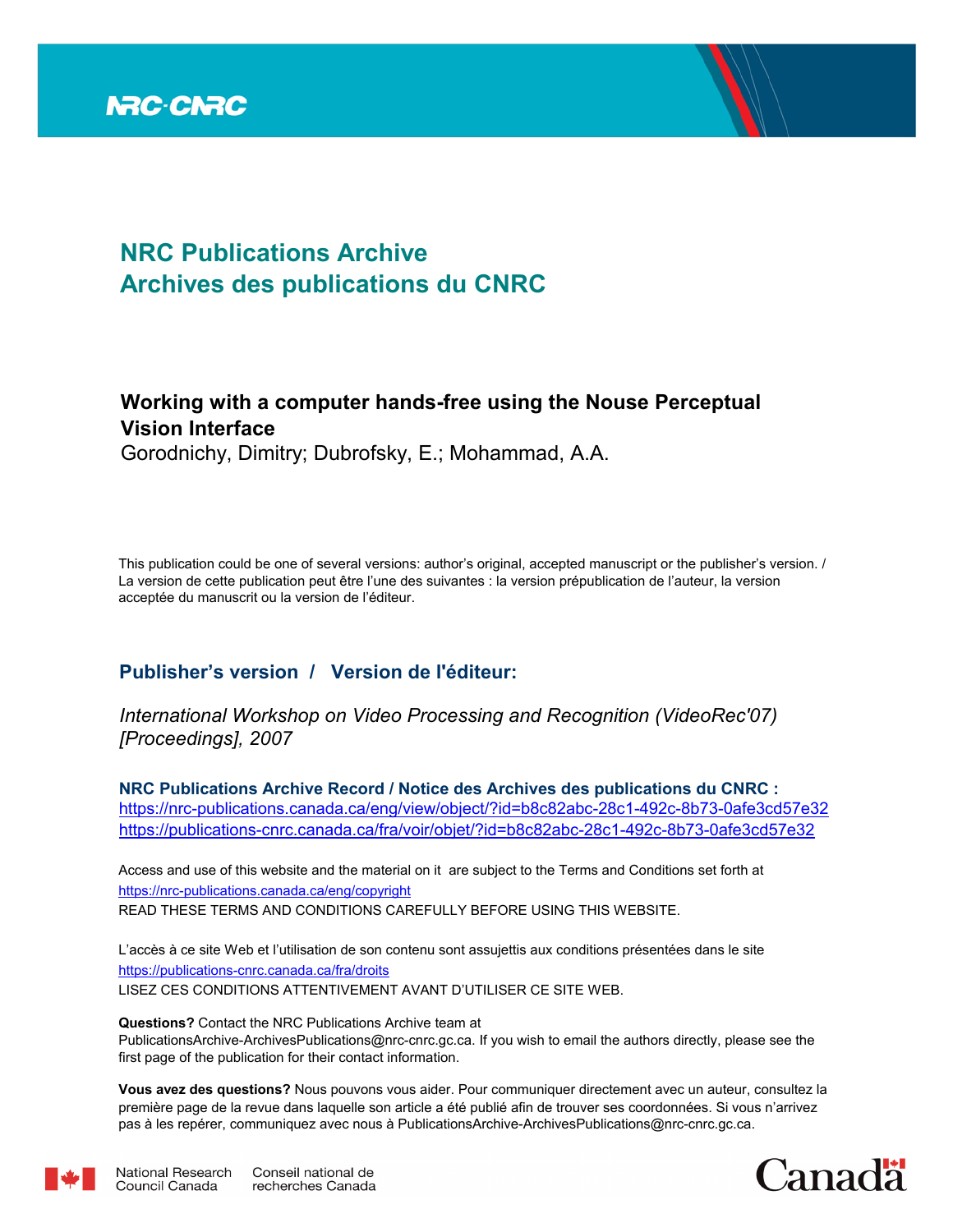

# **NRC Publications Archive Archives des publications du CNRC**

## **Working with a computer hands-free using the Nouse Perceptual Vision Interface**

Gorodnichy, Dimitry; Dubrofsky, E.; Mohammad, A.A.

This publication could be one of several versions: author's original, accepted manuscript or the publisher's version. / La version de cette publication peut être l'une des suivantes : la version prépublication de l'auteur, la version acceptée du manuscrit ou la version de l'éditeur.

## **Publisher's version / Version de l'éditeur:**

*International Workshop on Video Processing and Recognition (VideoRec'07) [Proceedings], 2007*

**NRC Publications Archive Record / Notice des Archives des publications du CNRC :** https://nrc-publications.canada.ca/eng/view/object/?id=b8c82abc-28c1-492c-8b73-0afe3cd57e32 https://publications-cnrc.canada.ca/fra/voir/objet/?id=b8c82abc-28c1-492c-8b73-0afe3cd57e32

READ THESE TERMS AND CONDITIONS CAREFULLY BEFORE USING THIS WEBSITE. https://nrc-publications.canada.ca/eng/copyright Access and use of this website and the material on it are subject to the Terms and Conditions set forth at

https://publications-cnrc.canada.ca/fra/droits L'accès à ce site Web et l'utilisation de son contenu sont assujettis aux conditions présentées dans le site LISEZ CES CONDITIONS ATTENTIVEMENT AVANT D'UTILISER CE SITE WEB.

**Questions?** Contact the NRC Publications Archive team at PublicationsArchive-ArchivesPublications@nrc-cnrc.gc.ca. If you wish to email the authors directly, please see the first page of the publication for their contact information.

**Vous avez des questions?** Nous pouvons vous aider. Pour communiquer directement avec un auteur, consultez la première page de la revue dans laquelle son article a été publié afin de trouver ses coordonnées. Si vous n'arrivez pas à les repérer, communiquez avec nous à PublicationsArchive-ArchivesPublications@nrc-cnrc.gc.ca.



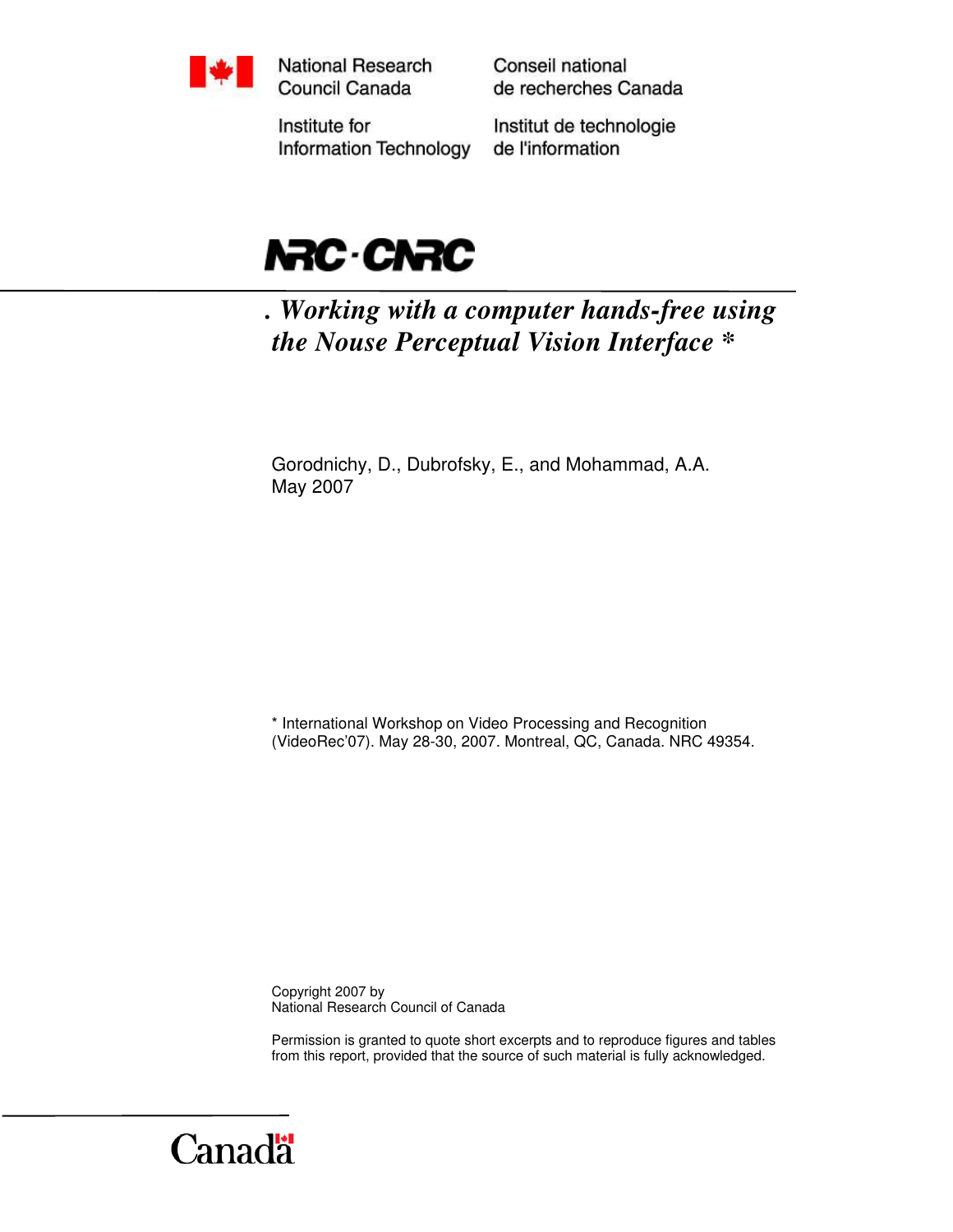

National Research Council Canada

Conseil national de recherches Canada

Institute for Information Technology Institut de technologie de l'information



*. Working with a computer hands-free using the Nouse Perceptual Vision Interface \** 

Gorodnichy, D., Dubrofsky, E., and Mohammad, A.A. May 2007

\* International Workshop on Video Processing and Recognition (VideoRec'07). May 28-30, 2007. Montreal, QC, Canada. NRC 49354.

Copyright 2007 by National Research Council of Canada

Permission is granted to quote short excerpts and to reproduce figures and tables from this report, provided that the source of such material is fully acknowledged.

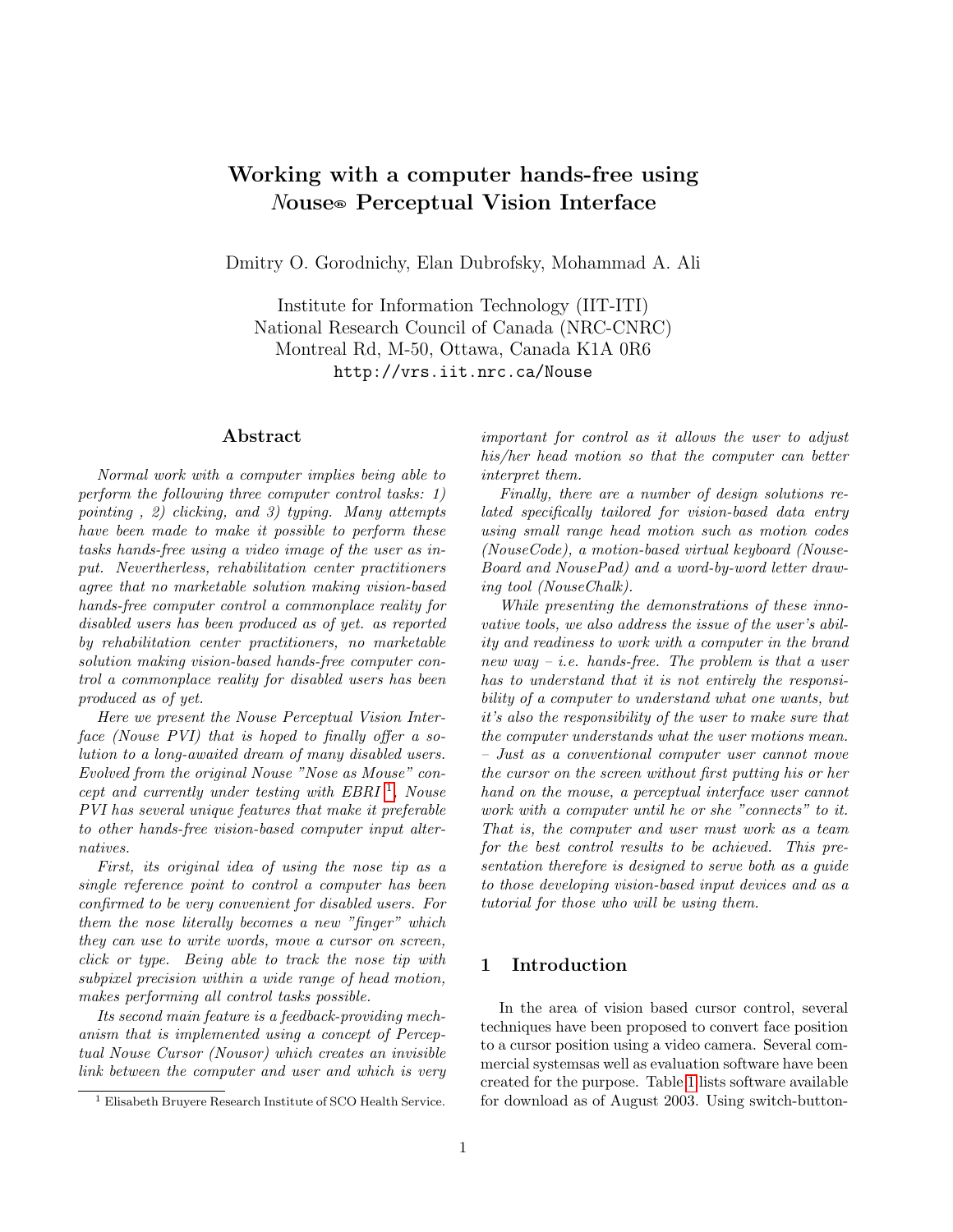## Working with a computer hands-free using Nouse<sup>®</sup> Perceptual Vision Interface

Dmitry O. Gorodnichy, Elan Dubrofsky, Mohammad A. Ali

Institute for Information Technology (IIT-ITI) National Research Council of Canada (NRC-CNRC) Montreal Rd, M-50, Ottawa, Canada K1A 0R6 http://vrs.iit.nrc.ca/Nouse

## Abstract

Normal work with a computer implies being able to perform the following three computer control tasks: 1) pointing , 2) clicking, and 3) typing. Many attempts have been made to make it possible to perform these tasks hands-free using a video image of the user as input. Nevertherless, rehabilitation center practitioners agree that no marketable solution making vision-based hands-free computer control a commonplace reality for disabled users has been produced as of yet. as reported by rehabilitation center practitioners, no marketable solution making vision-based hands-free computer control a commonplace reality for disabled users has been produced as of yet.

Here we present the Nouse Perceptual Vision Interface (Nouse PVI) that is hoped to finally offer a solution to a long-awaited dream of many disabled users. Evolved from the original Nouse "Nose as Mouse" con- $cept \ and \ currently \ under \ testing \ with \ EBRI \<sup>1</sup>, \ Now$  $cept \ and \ currently \ under \ testing \ with \ EBRI \<sup>1</sup>, \ Now$  $cept \ and \ currently \ under \ testing \ with \ EBRI \<sup>1</sup>, \ Now$ PVI has several unique features that make it preferable to other hands-free vision-based computer input alternatives.

First, its original idea of using the nose tip as a single reference point to control a computer has been confirmed to be very convenient for disabled users. For them the nose literally becomes a new "finger" which they can use to write words, move a cursor on screen, click or type. Being able to track the nose tip with subpixel precision within a wide range of head motion, makes performing all control tasks possible.

Its second main feature is a feedback-providing mechanism that is implemented using a concept of Perceptual Nouse Cursor (Nousor) which creates an invisible link between the computer and user and which is very

important for control as it allows the user to adjust his/her head motion so that the computer can better interpret them.

Finally, there are a number of design solutions related specifically tailored for vision-based data entry using small range head motion such as motion codes (NouseCode), a motion-based virtual keyboard (Nouse-Board and NousePad) and a word-by-word letter drawing tool (NouseChalk).

While presenting the demonstrations of these innovative tools, we also address the issue of the user's ability and readiness to work with a computer in the brand new way  $-$  *i.e.* hands-free. The problem is that a user has to understand that it is not entirely the responsibility of a computer to understand what one wants, but it's also the responsibility of the user to make sure that the computer understands what the user motions mean. – Just as a conventional computer user cannot move the cursor on the screen without first putting his or her hand on the mouse, a perceptual interface user cannot work with a computer until he or she "connects" to it. That is, the computer and user must work as a team for the best control results to be achieved. This presentation therefore is designed to serve both as a guide to those developing vision-based input devices and as a tutorial for those who will be using them.

## 1 Introduction

In the area of vision based cursor control, several techniques have been proposed to convert face position to a cursor position using a video camera. Several commercial systemsas well as evaluation software have been created for the purpose. Table [1](#page-3-0) lists software available for download as of August 2003. Using switch-button-

<span id="page-2-0"></span><sup>1</sup> Elisabeth Bruyere Research Institute of SCO Health Service.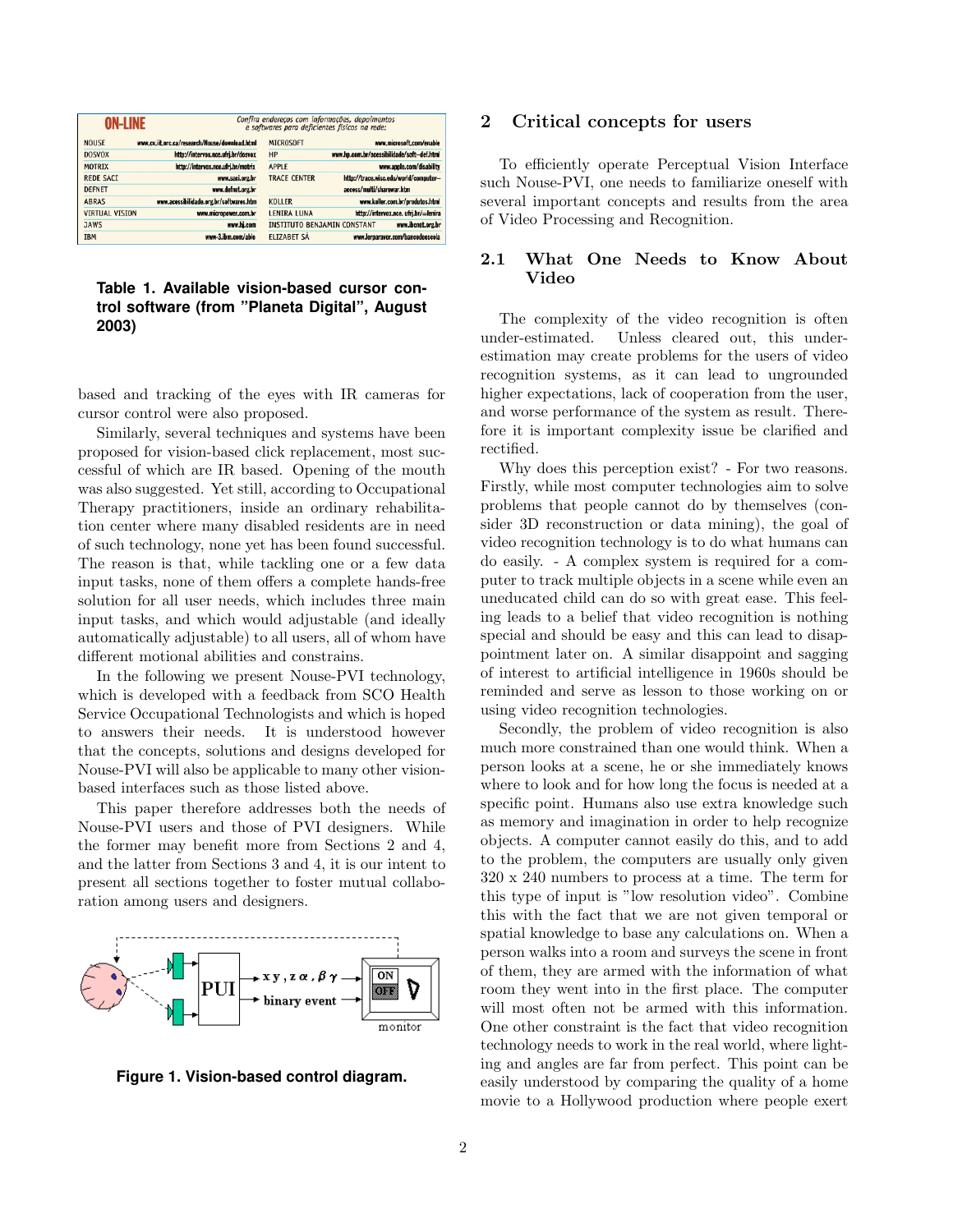| <b>ON-LINE</b>        |                                                | Confira endereços com informações, depoimentos<br>e softwares para deficientes físicos na rede: |                                            |
|-----------------------|------------------------------------------------|-------------------------------------------------------------------------------------------------|--------------------------------------------|
| <b>NOUSE</b>          | www.cv.iit.nrc.ca/research/Nouse/download.html | <b>MICROSOFT</b>                                                                                | www.microsoft.com/enable                   |
| <b>DOSVOX</b>         | http://intervox.nce.ufrj.br/dosvox             | HP                                                                                              | www.hp.com.br/acessibilidade/soft-def.html |
| <b>MOTRIX</b>         | http://intervox.nce.ufrj.br/motrix             | <b>APPLE</b>                                                                                    | www.apple.com/disability                   |
| <b>REDE SACT</b>      | www.saci.org.br                                | <b>TRACE CENTER</b>                                                                             | http://trace.wisc.edu/world/computer-      |
| <b>DEFNET</b>         | www.defnet.org.br                              |                                                                                                 | access/multi/sharewar.htm                  |
| <b>ABRAS</b>          | www.acessibilidade.org.br/softwares.htm        | KOLLER                                                                                          | www.koller.com.br/produtos.html            |
| <b>VIRTUAL VISION</b> | www.micropower.com.br                          | <b>LENTRA LUNA</b>                                                                              | http://intervox.nce.ufrj.br/=lenira        |
| <b>JAWS</b>           | www.hj.com                                     | <b>INSTITUTO BENJAMIN CONSTANT</b>                                                              | www.ibcnet.org.br                          |
| <b>TBM</b>            | www-3.ihm.com/able                             | <b>ELIZABET SÁ</b>                                                                              | www.lerparaver.com/bancodeescola           |

### <span id="page-3-0"></span>**Table 1. Available vision-based cursor control software (from "Planeta Digital", August 2003)**

based and tracking of the eyes with IR cameras for cursor control were also proposed.

Similarly, several techniques and systems have been proposed for vision-based click replacement, most successful of which are IR based. Opening of the mouth was also suggested. Yet still, according to Occupational Therapy practitioners, inside an ordinary rehabilitation center where many disabled residents are in need of such technology, none yet has been found successful. The reason is that, while tackling one or a few data input tasks, none of them offers a complete hands-free solution for all user needs, which includes three main input tasks, and which would adjustable (and ideally automatically adjustable) to all users, all of whom have different motional abilities and constrains.

In the following we present Nouse-PVI technology, which is developed with a feedback from SCO Health Service Occupational Technologists and which is hoped to answers their needs. It is understood however that the concepts, solutions and designs developed for Nouse-PVI will also be applicable to many other visionbased interfaces such as those listed above.

This paper therefore addresses both the needs of Nouse-PVI users and those of PVI designers. While the former may benefit more from Sections 2 and 4, and the latter from Sections 3 and 4, it is our intent to present all sections together to foster mutual collaboration among users and designers.





#### 2 Critical concepts for users

To efficiently operate Perceptual Vision Interface such Nouse-PVI, one needs to familiarize oneself with several important concepts and results from the area of Video Processing and Recognition.

## 2.1 What One Needs to Know About Video

The complexity of the video recognition is often under-estimated. Unless cleared out, this underestimation may create problems for the users of video recognition systems, as it can lead to ungrounded higher expectations, lack of cooperation from the user, and worse performance of the system as result. Therefore it is important complexity issue be clarified and rectified.

Why does this perception exist? - For two reasons. Firstly, while most computer technologies aim to solve problems that people cannot do by themselves (consider 3D reconstruction or data mining), the goal of video recognition technology is to do what humans can do easily. - A complex system is required for a computer to track multiple objects in a scene while even an uneducated child can do so with great ease. This feeling leads to a belief that video recognition is nothing special and should be easy and this can lead to disappointment later on. A similar disappoint and sagging of interest to artificial intelligence in 1960s should be reminded and serve as lesson to those working on or using video recognition technologies.

Secondly, the problem of video recognition is also much more constrained than one would think. When a person looks at a scene, he or she immediately knows where to look and for how long the focus is needed at a specific point. Humans also use extra knowledge such as memory and imagination in order to help recognize objects. A computer cannot easily do this, and to add to the problem, the computers are usually only given 320 x 240 numbers to process at a time. The term for this type of input is "low resolution video". Combine this with the fact that we are not given temporal or spatial knowledge to base any calculations on. When a person walks into a room and surveys the scene in front of them, they are armed with the information of what room they went into in the first place. The computer will most often not be armed with this information. One other constraint is the fact that video recognition technology needs to work in the real world, where lighting and angles are far from perfect. This point can be easily understood by comparing the quality of a home movie to a Hollywood production where people exert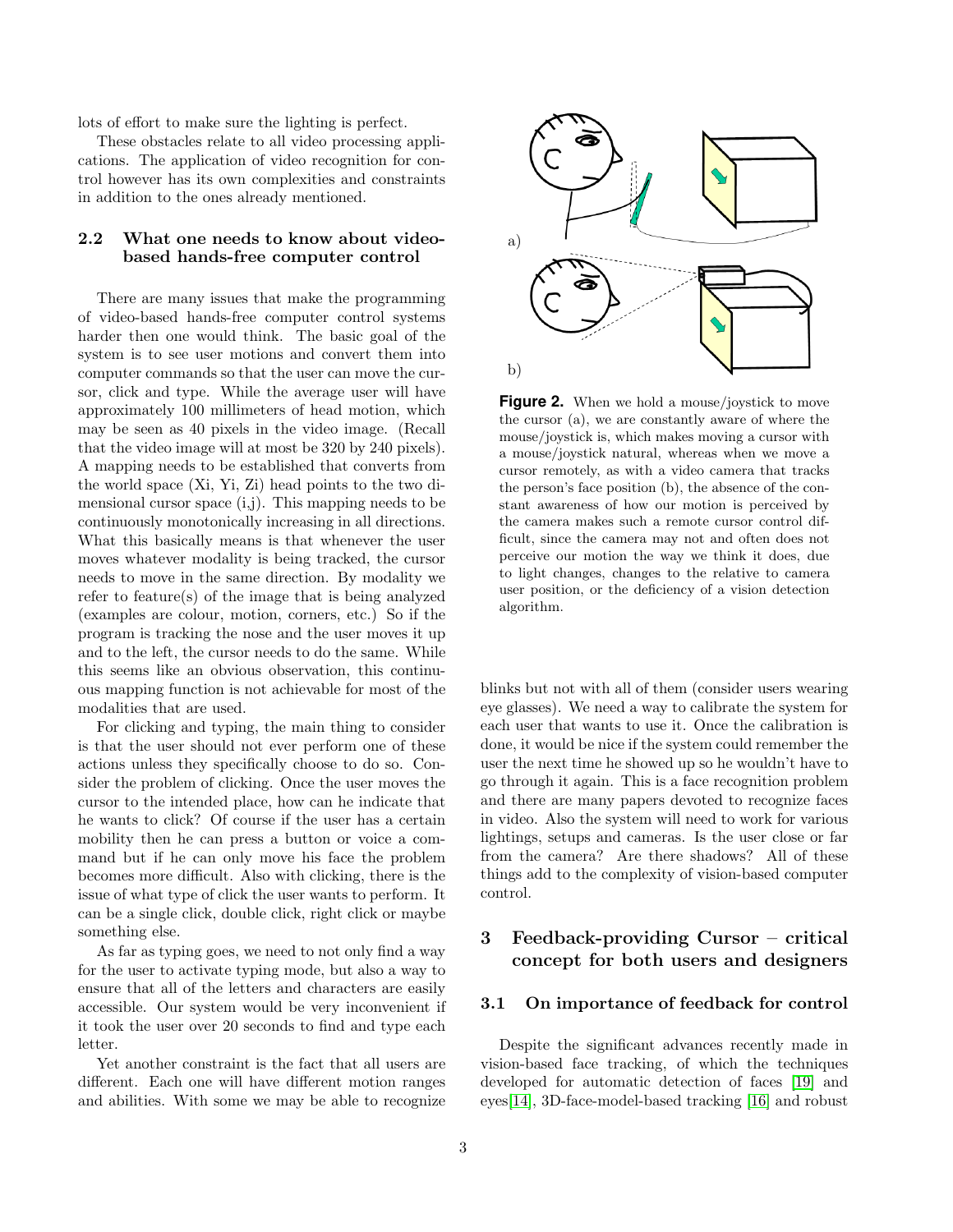lots of effort to make sure the lighting is perfect.

These obstacles relate to all video processing applications. The application of video recognition for control however has its own complexities and constraints in addition to the ones already mentioned.

## 2.2 What one needs to know about videobased hands-free computer control

There are many issues that make the programming of video-based hands-free computer control systems harder then one would think. The basic goal of the system is to see user motions and convert them into computer commands so that the user can move the cursor, click and type. While the average user will have approximately 100 millimeters of head motion, which may be seen as 40 pixels in the video image. (Recall that the video image will at most be 320 by 240 pixels). A mapping needs to be established that converts from the world space (Xi, Yi, Zi) head points to the two dimensional cursor space (i,j). This mapping needs to be continuously monotonically increasing in all directions. What this basically means is that whenever the user moves whatever modality is being tracked, the cursor needs to move in the same direction. By modality we refer to feature(s) of the image that is being analyzed (examples are colour, motion, corners, etc.) So if the program is tracking the nose and the user moves it up and to the left, the cursor needs to do the same. While this seems like an obvious observation, this continuous mapping function is not achievable for most of the modalities that are used.

For clicking and typing, the main thing to consider is that the user should not ever perform one of these actions unless they specifically choose to do so. Consider the problem of clicking. Once the user moves the cursor to the intended place, how can he indicate that he wants to click? Of course if the user has a certain mobility then he can press a button or voice a command but if he can only move his face the problem becomes more difficult. Also with clicking, there is the issue of what type of click the user wants to perform. It can be a single click, double click, right click or maybe something else.

As far as typing goes, we need to not only find a way for the user to activate typing mode, but also a way to ensure that all of the letters and characters are easily accessible. Our system would be very inconvenient if it took the user over 20 seconds to find and type each letter.

Yet another constraint is the fact that all users are different. Each one will have different motion ranges and abilities. With some we may be able to recognize



<span id="page-4-0"></span>**Figure 2.** When we hold a mouse/joystick to move the cursor (a), we are constantly aware of where the mouse/joystick is, which makes moving a cursor with a mouse/joystick natural, whereas when we move a cursor remotely, as with a video camera that tracks the person's face position (b), the absence of the constant awareness of how our motion is perceived by the camera makes such a remote cursor control difficult, since the camera may not and often does not perceive our motion the way we think it does, due to light changes, changes to the relative to camera user position, or the deficiency of a vision detection algorithm.

blinks but not with all of them (consider users wearing eye glasses). We need a way to calibrate the system for each user that wants to use it. Once the calibration is done, it would be nice if the system could remember the user the next time he showed up so he wouldn't have to go through it again. This is a face recognition problem and there are many papers devoted to recognize faces in video. Also the system will need to work for various lightings, setups and cameras. Is the user close or far from the camera? Are there shadows? All of these things add to the complexity of vision-based computer control.

## 3 Feedback-providing Cursor – critical concept for both users and designers

#### 3.1 On importance of feedback for control

Despite the significant advances recently made in vision-based face tracking, of which the techniques developed for automatic detection of faces [\[19\]](#page-12-0) and eyes[\[14\]](#page-12-1), 3D-face-model-based tracking [\[16\]](#page-12-2) and robust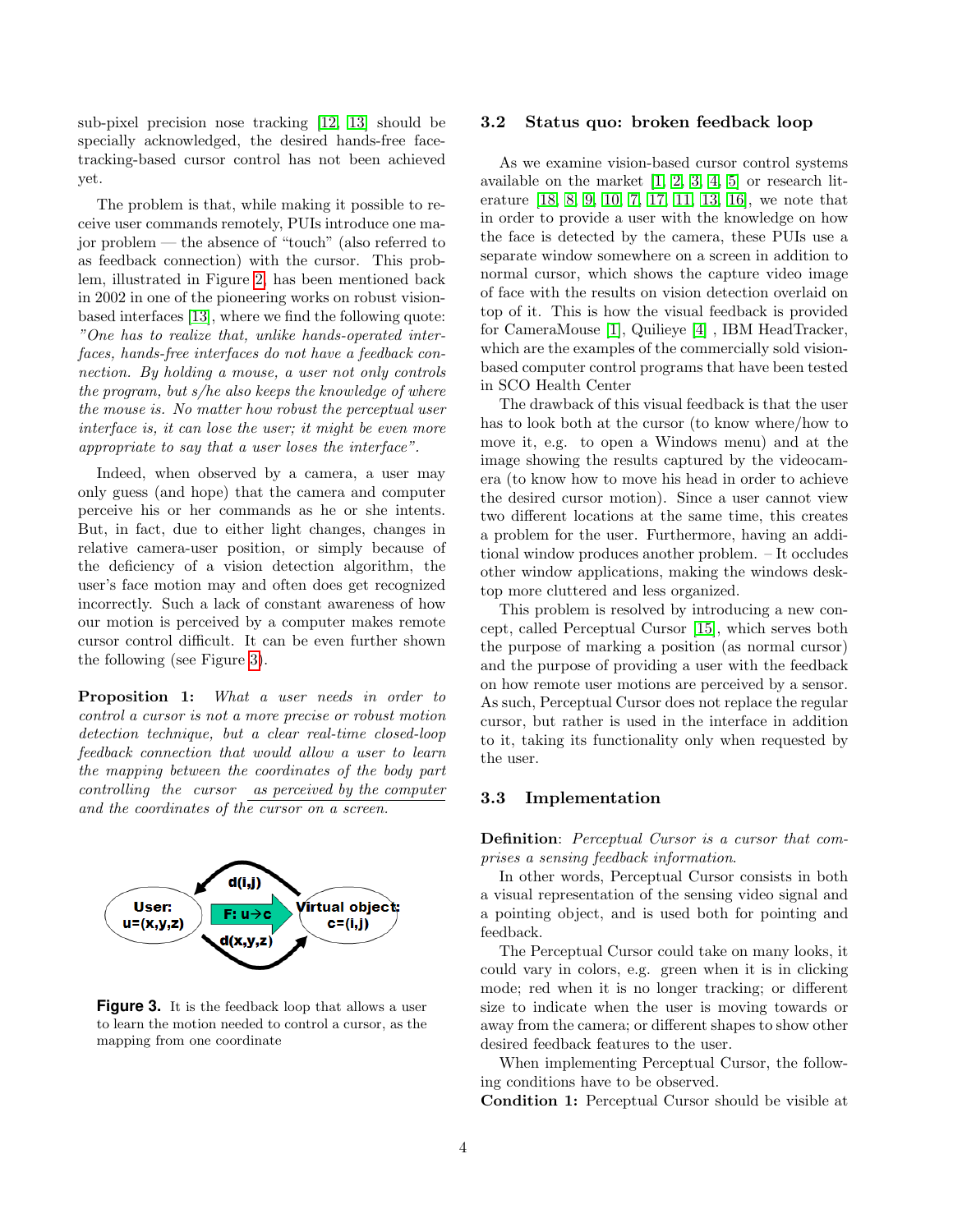sub-pixel precision nose tracking [\[12,](#page-12-3) [13\]](#page-12-4) should be specially acknowledged, the desired hands-free facetracking-based cursor control has not been achieved yet.

The problem is that, while making it possible to receive user commands remotely, PUIs introduce one major problem — the absence of "touch" (also referred to as feedback connection) with the cursor. This problem, illustrated in Figure [2,](#page-4-0) has been mentioned back in 2002 in one of the pioneering works on robust visionbased interfaces [\[13\]](#page-12-4), where we find the following quote: "One has to realize that, unlike hands-operated interfaces, hands-free interfaces do not have a feedback connection. By holding a mouse, a user not only controls the program, but s/he also keeps the knowledge of where the mouse is. No matter how robust the perceptual user interface is, it can lose the user; it might be even more appropriate to say that a user loses the interface".

Indeed, when observed by a camera, a user may only guess (and hope) that the camera and computer perceive his or her commands as he or she intents. But, in fact, due to either light changes, changes in relative camera-user position, or simply because of the deficiency of a vision detection algorithm, the user's face motion may and often does get recognized incorrectly. Such a lack of constant awareness of how our motion is perceived by a computer makes remote cursor control difficult. It can be even further shown the following (see Figure [3\)](#page-5-0).

**Proposition 1:** What a user needs in order to control a cursor is not a more precise or robust motion detection technique, but a clear real-time closed-loop feedback connection that would allow a user to learn the mapping between the coordinates of the body part controlling the cursor as perceived by the computer and the coordinates of the cursor on a screen.



<span id="page-5-0"></span>**Figure 3.** It is the feedback loop that allows a user to learn the motion needed to control a cursor, as the mapping from one coordinate

#### 3.2 Status quo: broken feedback loop

As we examine vision-based cursor control systems available on the market [\[1,](#page-12-5) [2,](#page-12-6) [3,](#page-12-7) [4,](#page-12-8) [5\]](#page-12-9) or research literature [\[18,](#page-12-10) [8,](#page-12-11) [9,](#page-12-12) [10,](#page-12-13) [7,](#page-12-14) [17,](#page-12-15) [11,](#page-12-16) [13,](#page-12-4) [16\]](#page-12-2), we note that in order to provide a user with the knowledge on how the face is detected by the camera, these PUIs use a separate window somewhere on a screen in addition to normal cursor, which shows the capture video image of face with the results on vision detection overlaid on top of it. This is how the visual feedback is provided for CameraMouse [\[1\]](#page-12-5), Quilieye [\[4\]](#page-12-8) , IBM HeadTracker, which are the examples of the commercially sold visionbased computer control programs that have been tested in SCO Health Center

The drawback of this visual feedback is that the user has to look both at the cursor (to know where/how to move it, e.g. to open a Windows menu) and at the image showing the results captured by the videocamera (to know how to move his head in order to achieve the desired cursor motion). Since a user cannot view two different locations at the same time, this creates a problem for the user. Furthermore, having an additional window produces another problem. – It occludes other window applications, making the windows desktop more cluttered and less organized.

This problem is resolved by introducing a new concept, called Perceptual Cursor [\[15\]](#page-12-17), which serves both the purpose of marking a position (as normal cursor) and the purpose of providing a user with the feedback on how remote user motions are perceived by a sensor. As such, Perceptual Cursor does not replace the regular cursor, but rather is used in the interface in addition to it, taking its functionality only when requested by the user.

#### 3.3 Implementation

Definition: Perceptual Cursor is a cursor that comprises a sensing feedback information.

In other words, Perceptual Cursor consists in both a visual representation of the sensing video signal and a pointing object, and is used both for pointing and feedback.

The Perceptual Cursor could take on many looks, it could vary in colors, e.g. green when it is in clicking mode; red when it is no longer tracking; or different size to indicate when the user is moving towards or away from the camera; or different shapes to show other desired feedback features to the user.

When implementing Perceptual Cursor, the following conditions have to be observed.

Condition 1: Perceptual Cursor should be visible at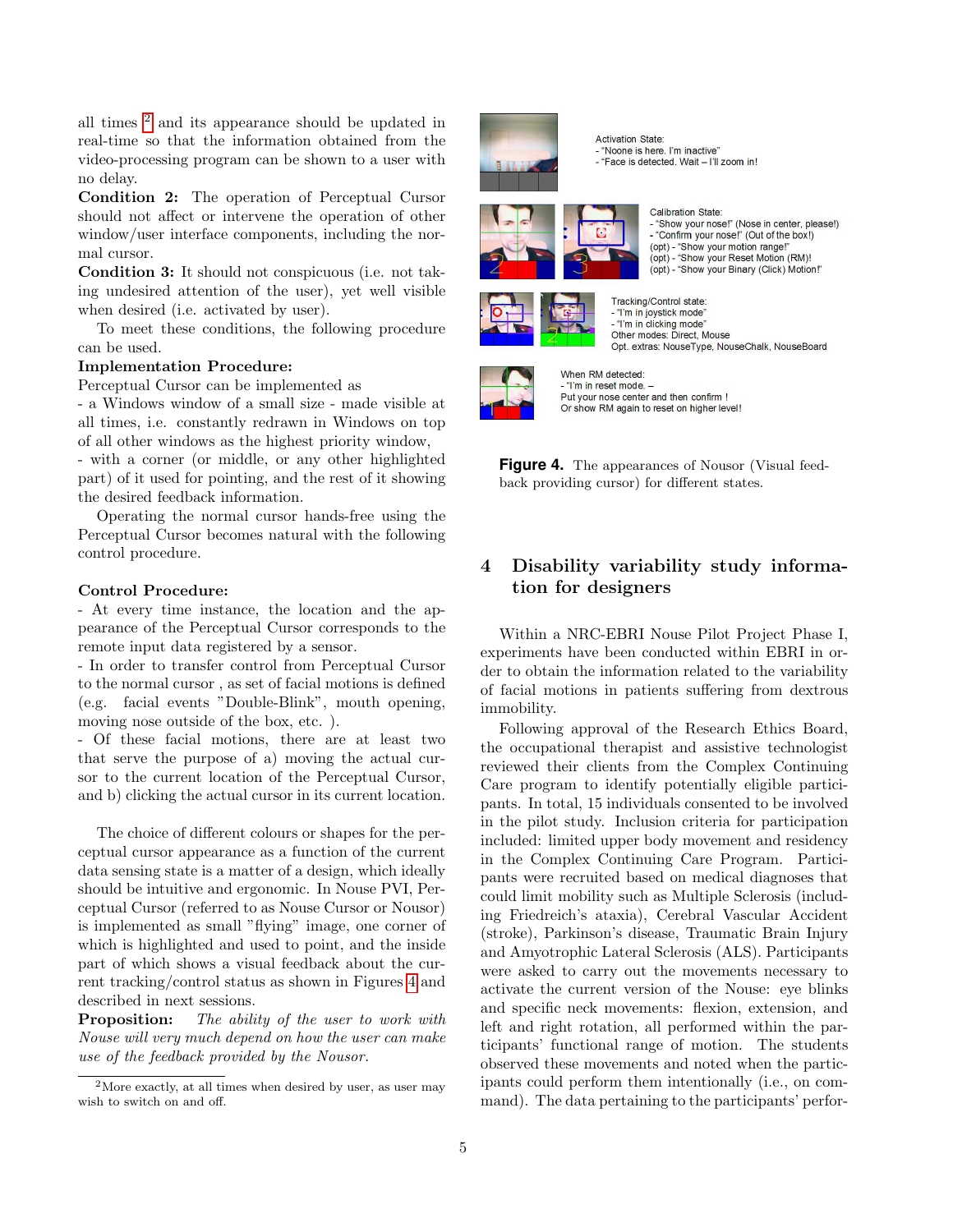all times [2](#page-6-0) and its appearance should be updated in real-time so that the information obtained from the video-processing program can be shown to a user with no delay.

Condition 2: The operation of Perceptual Cursor should not affect or intervene the operation of other window/user interface components, including the normal cursor.

Condition 3: It should not conspicuous (i.e. not taking undesired attention of the user), yet well visible when desired (i.e. activated by user).

To meet these conditions, the following procedure can be used.

#### Implementation Procedure:

Perceptual Cursor can be implemented as

- a Windows window of a small size - made visible at all times, i.e. constantly redrawn in Windows on top of all other windows as the highest priority window,

- with a corner (or middle, or any other highlighted part) of it used for pointing, and the rest of it showing the desired feedback information.

Operating the normal cursor hands-free using the Perceptual Cursor becomes natural with the following control procedure.

#### Control Procedure:

- At every time instance, the location and the appearance of the Perceptual Cursor corresponds to the remote input data registered by a sensor.

- In order to transfer control from Perceptual Cursor to the normal cursor , as set of facial motions is defined (e.g. facial events "Double-Blink", mouth opening, moving nose outside of the box, etc. ).

- Of these facial motions, there are at least two that serve the purpose of a) moving the actual cursor to the current location of the Perceptual Cursor, and b) clicking the actual cursor in its current location.

The choice of different colours or shapes for the perceptual cursor appearance as a function of the current data sensing state is a matter of a design, which ideally should be intuitive and ergonomic. In Nouse PVI, Perceptual Cursor (referred to as Nouse Cursor or Nousor) is implemented as small "flying" image, one corner of which is highlighted and used to point, and the inside part of which shows a visual feedback about the current tracking/control status as shown in Figures [4](#page-6-1) and described in next sessions.

**Proposition:** The ability of the user to work with Nouse will very much depend on how the user can make use of the feedback provided by the Nousor.



**Activation State:** - "Noone is here. I'm inactive" - "Face is detected, Wait - I'll zoom in!

**Calibration State:** 





Tracking/Control state: "I'm in joystick mode - "I'm in clicking mode" Other modes: Direct, Mouse

Opt. extras: NouseType, NouseChalk, NouseBoard

"Show your nose!" (Nose in center, please!) "Confirm your nose!" (Out of the box!) (opt) - "Show your motion range!" (opt) - "Show your Reset Motion (RM)! (opt) - "Show your Binary (Click) Motion!"



When RM detected: "I'm in reset mode. -

<span id="page-6-1"></span>Put your nose center and then confirm ! Or show RM again to reset on higher level!

**Figure 4.** The appearances of Nousor (Visual feedback providing cursor) for different states.

## Disability variability study information for designers

Within a NRC-EBRI Nouse Pilot Project Phase I, experiments have been conducted within EBRI in order to obtain the information related to the variability of facial motions in patients suffering from dextrous immobility.

Following approval of the Research Ethics Board, the occupational therapist and assistive technologist reviewed their clients from the Complex Continuing Care program to identify potentially eligible participants. In total, 15 individuals consented to be involved in the pilot study. Inclusion criteria for participation included: limited upper body movement and residency in the Complex Continuing Care Program. Participants were recruited based on medical diagnoses that could limit mobility such as Multiple Sclerosis (including Friedreich's ataxia), Cerebral Vascular Accident (stroke), Parkinson's disease, Traumatic Brain Injury and Amyotrophic Lateral Sclerosis (ALS). Participants were asked to carry out the movements necessary to activate the current version of the Nouse: eye blinks and specific neck movements: flexion, extension, and left and right rotation, all performed within the participants' functional range of motion. The students observed these movements and noted when the participants could perform them intentionally (i.e., on command). The data pertaining to the participants' perfor-

<span id="page-6-0"></span><sup>2</sup>More exactly, at all times when desired by user, as user may wish to switch on and off.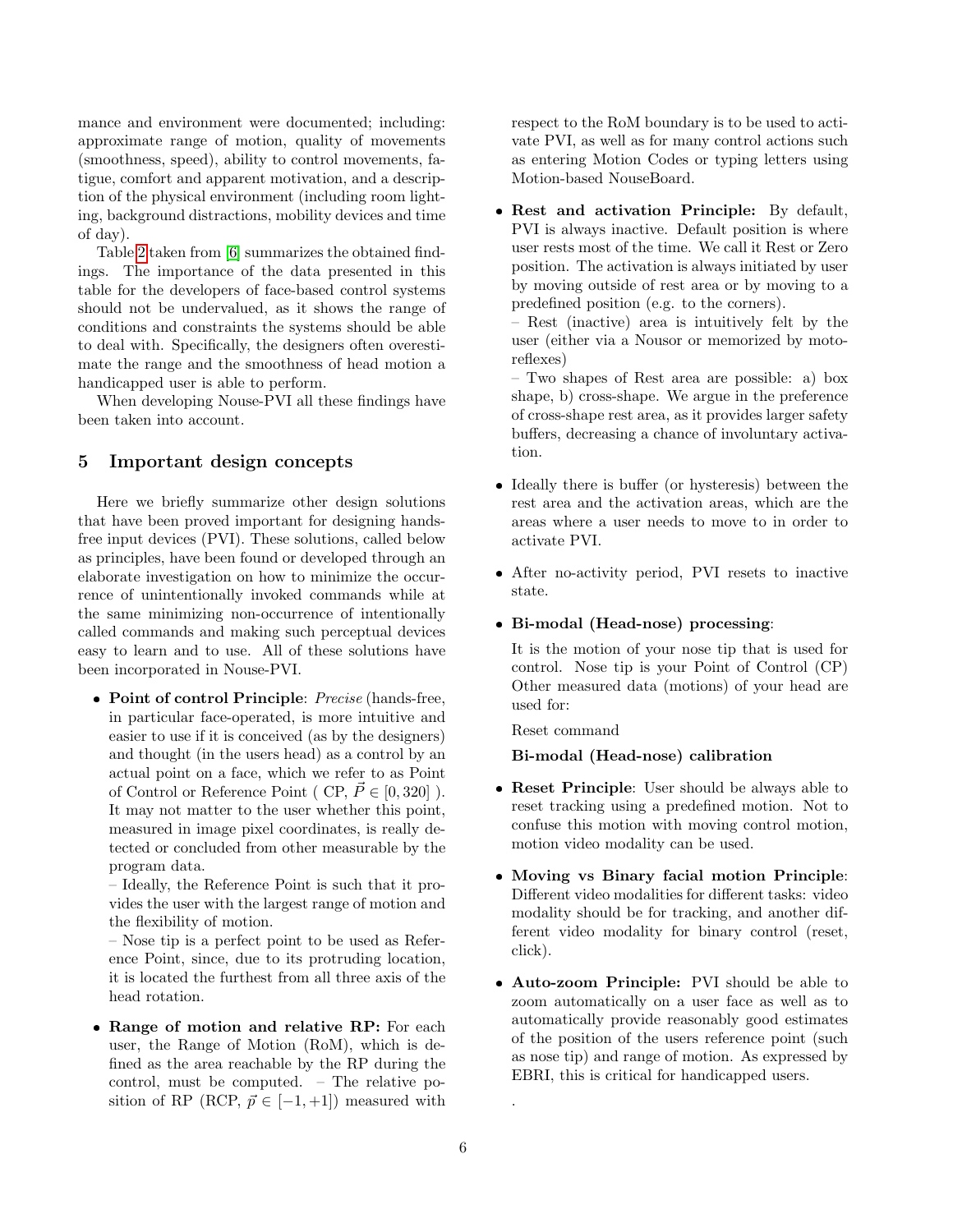mance and environment were documented; including: approximate range of motion, quality of movements (smoothness, speed), ability to control movements, fatigue, comfort and apparent motivation, and a description of the physical environment (including room lighting, background distractions, mobility devices and time of day).

Table [2](#page-13-0) taken from [\[6\]](#page-12-18) summarizes the obtained findings. The importance of the data presented in this table for the developers of face-based control systems should not be undervalued, as it shows the range of conditions and constraints the systems should be able to deal with. Specifically, the designers often overestimate the range and the smoothness of head motion a handicapped user is able to perform.

When developing Nouse-PVI all these findings have been taken into account.

### 5 Important design concepts

Here we briefly summarize other design solutions that have been proved important for designing handsfree input devices (PVI). These solutions, called below as principles, have been found or developed through an elaborate investigation on how to minimize the occurrence of unintentionally invoked commands while at the same minimizing non-occurrence of intentionally called commands and making such perceptual devices easy to learn and to use. All of these solutions have been incorporated in Nouse-PVI.

❼ Point of control Principle: Precise (hands-free, in particular face-operated, is more intuitive and easier to use if it is conceived (as by the designers) and thought (in the users head) as a control by an actual point on a face, which we refer to as Point of Control or Reference Point ( CP,  $\vec{P} \in [0, 320]$  ). It may not matter to the user whether this point, measured in image pixel coordinates, is really detected or concluded from other measurable by the program data.

– Ideally, the Reference Point is such that it provides the user with the largest range of motion and the flexibility of motion.

– Nose tip is a perfect point to be used as Reference Point, since, due to its protruding location, it is located the furthest from all three axis of the head rotation.

• Range of motion and relative RP: For each user, the Range of Motion (RoM), which is defined as the area reachable by the RP during the control, must be computed. – The relative position of RP (RCP,  $\vec{p} \in [-1, +1]$ ) measured with

respect to the RoM boundary is to be used to activate PVI, as well as for many control actions such as entering Motion Codes or typing letters using Motion-based NouseBoard.

❼ Rest and activation Principle: By default, PVI is always inactive. Default position is where user rests most of the time. We call it Rest or Zero position. The activation is always initiated by user by moving outside of rest area or by moving to a predefined position (e.g. to the corners).

– Rest (inactive) area is intuitively felt by the user (either via a Nousor or memorized by motoreflexes)

– Two shapes of Rest area are possible: a) box shape, b) cross-shape. We argue in the preference of cross-shape rest area, as it provides larger safety buffers, decreasing a chance of involuntary activation.

- ❼ Ideally there is buffer (or hysteresis) between the rest area and the activation areas, which are the areas where a user needs to move to in order to activate PVI.
- ❼ After no-activity period, PVI resets to inactive state.
- ❼ Bi-modal (Head-nose) processing:

It is the motion of your nose tip that is used for control. Nose tip is your Point of Control (CP) Other measured data (motions) of your head are used for:

Reset command

#### Bi-modal (Head-nose) calibration

- Reset Principle: User should be always able to reset tracking using a predefined motion. Not to confuse this motion with moving control motion, motion video modality can be used.
- ❼ Moving vs Binary facial motion Principle: Different video modalities for different tasks: video modality should be for tracking, and another different video modality for binary control (reset, click).
- ❼ Auto-zoom Principle: PVI should be able to zoom automatically on a user face as well as to automatically provide reasonably good estimates of the position of the users reference point (such as nose tip) and range of motion. As expressed by EBRI, this is critical for handicapped users.

.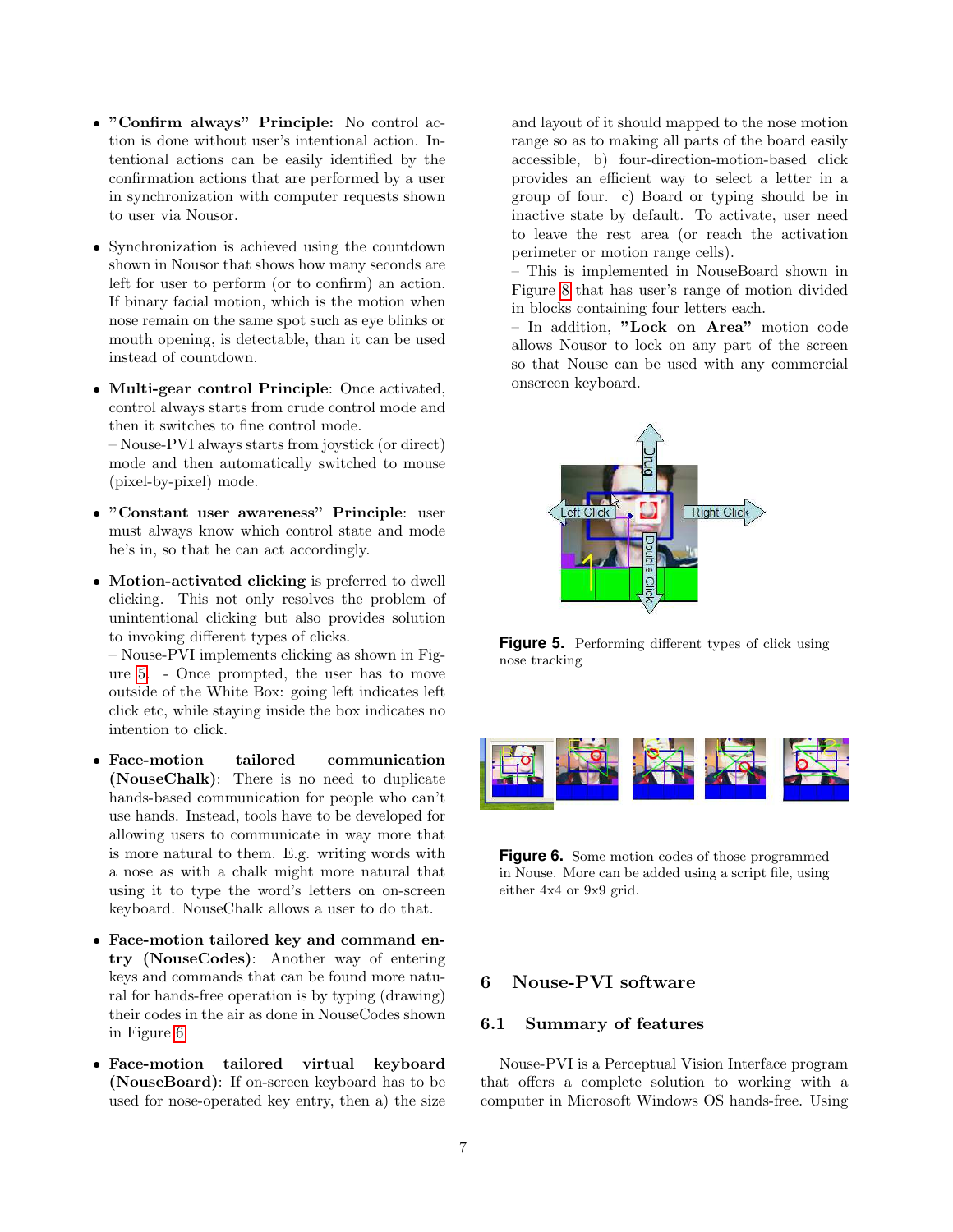- ❼ "Confirm always" Principle: No control action is done without user's intentional action. Intentional actions can be easily identified by the confirmation actions that are performed by a user in synchronization with computer requests shown to user via Nousor.
- ❼ Synchronization is achieved using the countdown shown in Nousor that shows how many seconds are left for user to perform (or to confirm) an action. If binary facial motion, which is the motion when nose remain on the same spot such as eye blinks or mouth opening, is detectable, than it can be used instead of countdown.
- ❼ Multi-gear control Principle: Once activated, control always starts from crude control mode and then it switches to fine control mode.

– Nouse-PVI always starts from joystick (or direct) mode and then automatically switched to mouse (pixel-by-pixel) mode.

- ❼ "Constant user awareness" Principle: user must always know which control state and mode he's in, so that he can act accordingly.
- ❼ Motion-activated clicking is preferred to dwell clicking. This not only resolves the problem of unintentional clicking but also provides solution to invoking different types of clicks.

– Nouse-PVI implements clicking as shown in Figure [5.](#page-8-0) - Once prompted, the user has to move outside of the White Box: going left indicates left click etc, while staying inside the box indicates no intention to click.

- ❼ Face-motion tailored communication (NouseChalk): There is no need to duplicate hands-based communication for people who can't use hands. Instead, tools have to be developed for allowing users to communicate in way more that is more natural to them. E.g. writing words with a nose as with a chalk might more natural that using it to type the word's letters on on-screen keyboard. NouseChalk allows a user to do that.
- ❼ Face-motion tailored key and command entry (NouseCodes): Another way of entering keys and commands that can be found more natural for hands-free operation is by typing (drawing) their codes in the air as done in NouseCodes shown in Figure [6.](#page-8-1)
- ❼ Face-motion tailored virtual keyboard (NouseBoard): If on-screen keyboard has to be used for nose-operated key entry, then a) the size

and layout of it should mapped to the nose motion range so as to making all parts of the board easily accessible, b) four-direction-motion-based click provides an efficient way to select a letter in a group of four. c) Board or typing should be in inactive state by default. To activate, user need to leave the rest area (or reach the activation perimeter or motion range cells).

– This is implemented in NouseBoard shown in Figure [8](#page-10-0) that has user's range of motion divided in blocks containing four letters each.

– In addition, "Lock on Area" motion code allows Nousor to lock on any part of the screen so that Nouse can be used with any commercial onscreen keyboard.



<span id="page-8-0"></span>**Figure 5.** Performing different types of click using nose tracking

<span id="page-8-1"></span>

**Figure 6.** Some motion codes of those programmed in Nouse. More can be added using a script file, using either 4x4 or 9x9 grid.

#### 6 Nouse-PVI software

#### 6.1 Summary of features

Nouse-PVI is a Perceptual Vision Interface program that offers a complete solution to working with a computer in Microsoft Windows OS hands-free. Using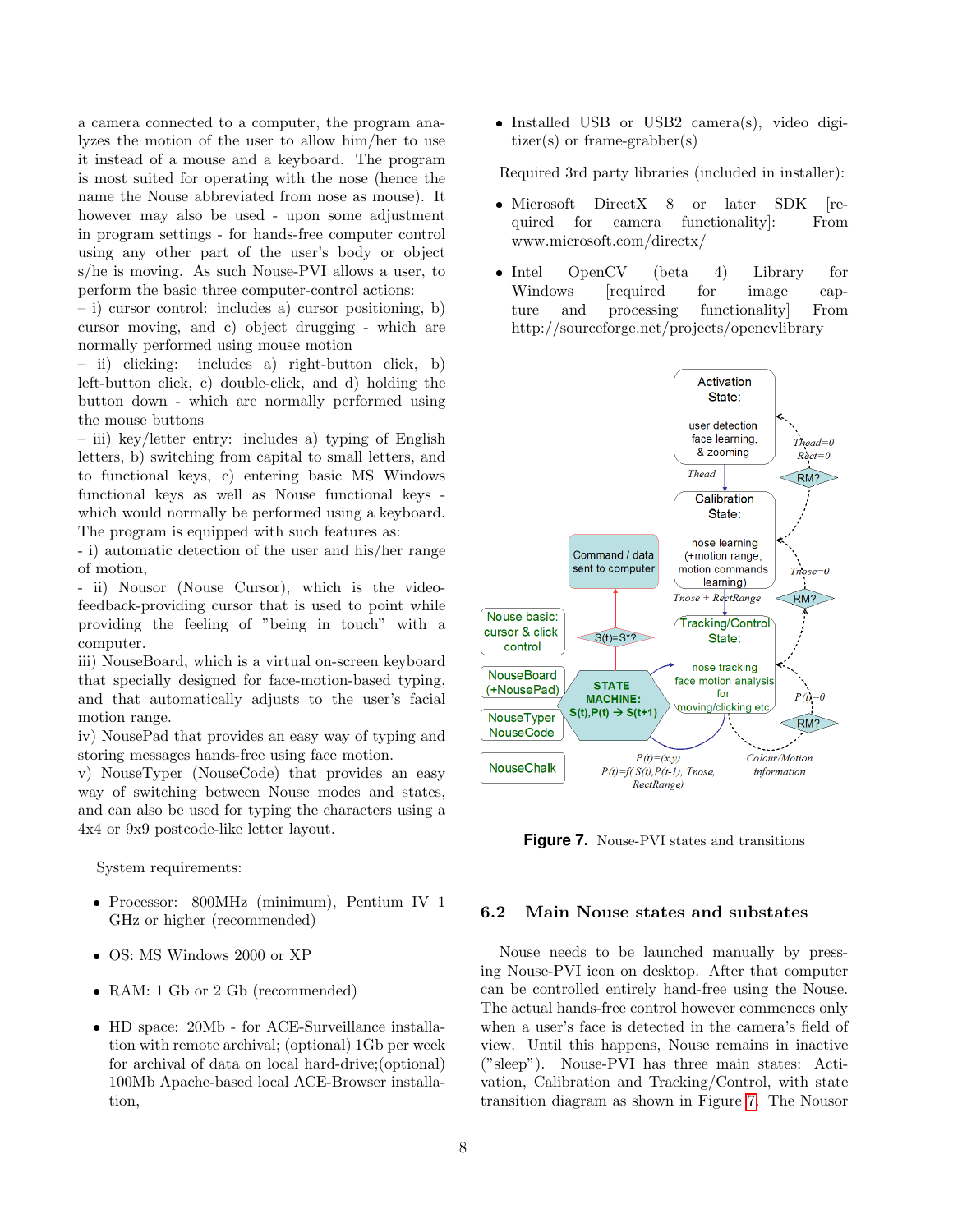a camera connected to a computer, the program analyzes the motion of the user to allow him/her to use it instead of a mouse and a keyboard. The program is most suited for operating with the nose (hence the name the Nouse abbreviated from nose as mouse). It however may also be used - upon some adjustment in program settings - for hands-free computer control using any other part of the user's body or object s/he is moving. As such Nouse-PVI allows a user, to perform the basic three computer-control actions:

– i) cursor control: includes a) cursor positioning, b) cursor moving, and c) object drugging - which are normally performed using mouse motion

– ii) clicking: includes a) right-button click, b) left-button click, c) double-click, and d) holding the button down - which are normally performed using the mouse buttons

– iii) key/letter entry: includes a) typing of English letters, b) switching from capital to small letters, and to functional keys, c) entering basic MS Windows functional keys as well as Nouse functional keys which would normally be performed using a keyboard. The program is equipped with such features as:

- i) automatic detection of the user and his/her range of motion,

- ii) Nousor (Nouse Cursor), which is the videofeedback-providing cursor that is used to point while providing the feeling of "being in touch" with a computer.

iii) NouseBoard, which is a virtual on-screen keyboard that specially designed for face-motion-based typing, and that automatically adjusts to the user's facial motion range.

iv) NousePad that provides an easy way of typing and storing messages hands-free using face motion.

v) NouseTyper (NouseCode) that provides an easy way of switching between Nouse modes and states, and can also be used for typing the characters using a 4x4 or 9x9 postcode-like letter layout.

System requirements:

- ❼ Processor: 800MHz (minimum), Pentium IV 1 GHz or higher (recommended)
- ❼ OS: MS Windows 2000 or XP
- RAM: 1 Gb or 2 Gb (recommended)
- ❼ HD space: 20Mb for ACE-Surveillance installation with remote archival; (optional) 1Gb per week for archival of data on local hard-drive;(optional) 100Mb Apache-based local ACE-Browser installation,

❼ Installed USB or USB2 camera(s), video digitizer(s) or frame-grabber(s)

Required 3rd party libraries (included in installer):

- ❼ Microsoft DirectX 8 or later SDK [required for camera functionality]: From www.microsoft.com/directx/
- ❼ Intel OpenCV (beta 4) Library for Windows [required for image capture and processing functionality] From http://sourceforge.net/projects/opencvlibrary



<span id="page-9-0"></span>**Figure 7.** Nouse-PVI states and transitions

#### 6.2 Main Nouse states and substates

Nouse needs to be launched manually by pressing Nouse-PVI icon on desktop. After that computer can be controlled entirely hand-free using the Nouse. The actual hands-free control however commences only when a user's face is detected in the camera's field of view. Until this happens, Nouse remains in inactive ("sleep"). Nouse-PVI has three main states: Activation, Calibration and Tracking/Control, with state transition diagram as shown in Figure [7.](#page-9-0) The Nousor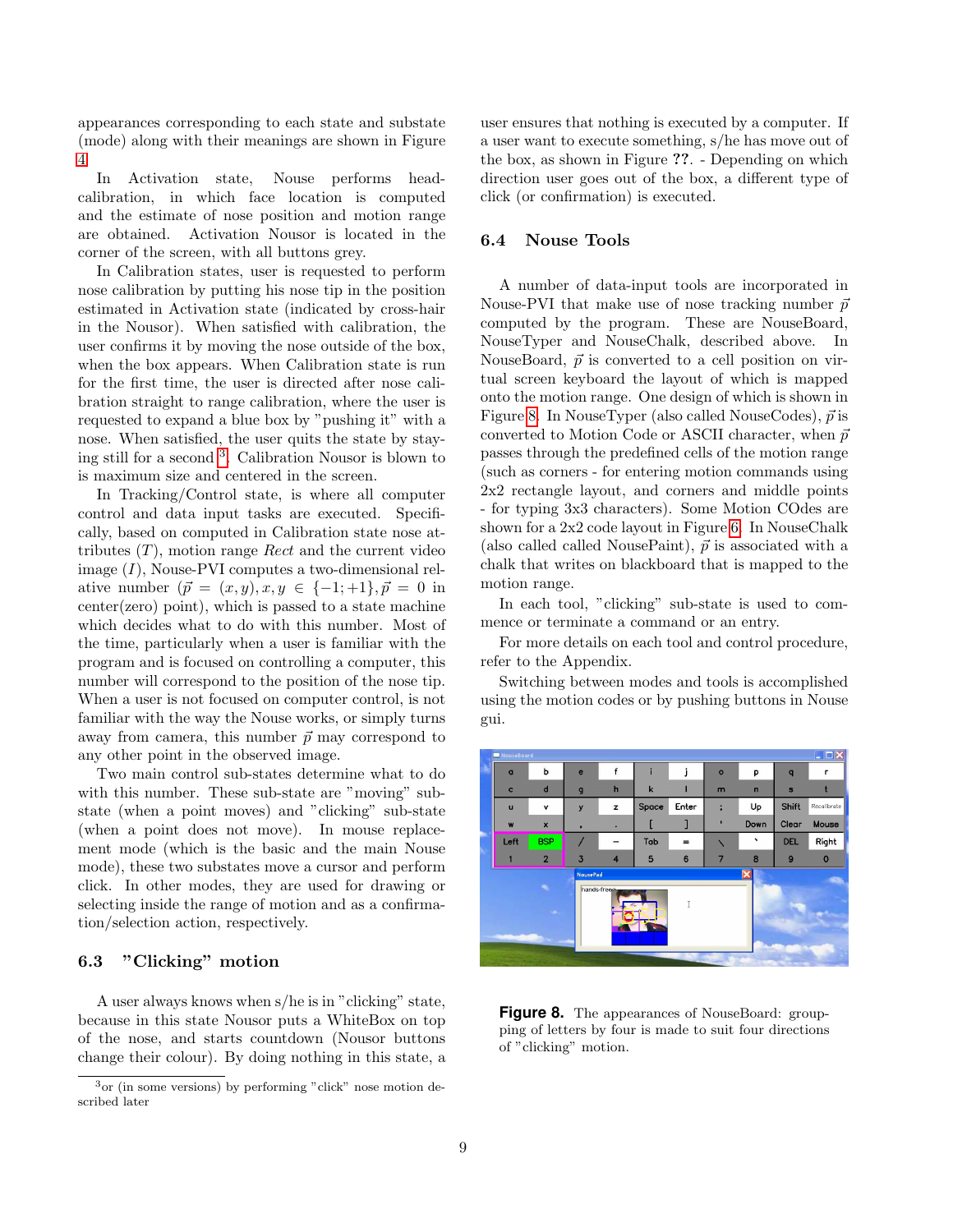appearances corresponding to each state and substate (mode) along with their meanings are shown in Figure [4](#page-6-1)

In Activation state, Nouse performs headcalibration, in which face location is computed and the estimate of nose position and motion range are obtained. Activation Nousor is located in the corner of the screen, with all buttons grey.

In Calibration states, user is requested to perform nose calibration by putting his nose tip in the position estimated in Activation state (indicated by cross-hair in the Nousor). When satisfied with calibration, the user confirms it by moving the nose outside of the box, when the box appears. When Calibration state is run for the first time, the user is directed after nose calibration straight to range calibration, where the user is requested to expand a blue box by "pushing it" with a nose. When satisfied, the user quits the state by staying still for a second [3](#page-10-1) . Calibration Nousor is blown to is maximum size and centered in the screen.

In Tracking/Control state, is where all computer control and data input tasks are executed. Specifically, based on computed in Calibration state nose attributes  $(T)$ , motion range Rect and the current video image  $(I)$ , Nouse-PVI computes a two-dimensional relative number  $(\vec{p} = (x, y), x, y \in \{-1, +1\}, \vec{p} = 0$  in center(zero) point), which is passed to a state machine which decides what to do with this number. Most of the time, particularly when a user is familiar with the program and is focused on controlling a computer, this number will correspond to the position of the nose tip. When a user is not focused on computer control, is not familiar with the way the Nouse works, or simply turns away from camera, this number  $\vec{p}$  may correspond to any other point in the observed image.

Two main control sub-states determine what to do with this number. These sub-state are "moving" substate (when a point moves) and "clicking" sub-state (when a point does not move). In mouse replacement mode (which is the basic and the main Nouse mode), these two substates move a cursor and perform click. In other modes, they are used for drawing or selecting inside the range of motion and as a confirmation/selection action, respectively.

#### 6.3 "Clicking" motion

A user always knows when s/he is in "clicking" state, because in this state Nousor puts a WhiteBox on top of the nose, and starts countdown (Nousor buttons change their colour). By doing nothing in this state, a user ensures that nothing is executed by a computer. If a user want to execute something, s/he has move out of the box, as shown in Figure ??. - Depending on which direction user goes out of the box, a different type of click (or confirmation) is executed.

### 6.4 Nouse Tools

A number of data-input tools are incorporated in Nouse-PVI that make use of nose tracking number  $\vec{p}$ computed by the program. These are NouseBoard, NouseTyper and NouseChalk, described above. In NouseBoard,  $\vec{p}$  is converted to a cell position on virtual screen keyboard the layout of which is mapped onto the motion range. One design of which is shown in Figure [8.](#page-10-0) In NouseTyper (also called NouseCodes),  $\vec{p}$  is converted to Motion Code or ASCII character, when  $\vec{p}$ passes through the predefined cells of the motion range (such as corners - for entering motion commands using 2x2 rectangle layout, and corners and middle points - for typing 3x3 characters). Some Motion COdes are shown for a 2x2 code layout in Figure [6.](#page-8-1) In NouseChalk (also called called NousePaint),  $\vec{p}$  is associated with a chalk that writes on blackboard that is mapped to the motion range.

In each tool, "clicking" sub-state is used to commence or terminate a command or an entry.

For more details on each tool and control procedure, refer to the Appendix.

Switching between modes and tools is accomplished using the motion codes or by pushing buttons in Nouse gui.

<span id="page-10-0"></span>

**Figure 8.** The appearances of NouseBoard: groupping of letters by four is made to suit four directions of "clicking" motion.

<span id="page-10-1"></span><sup>3</sup>or (in some versions) by performing "click" nose motion described later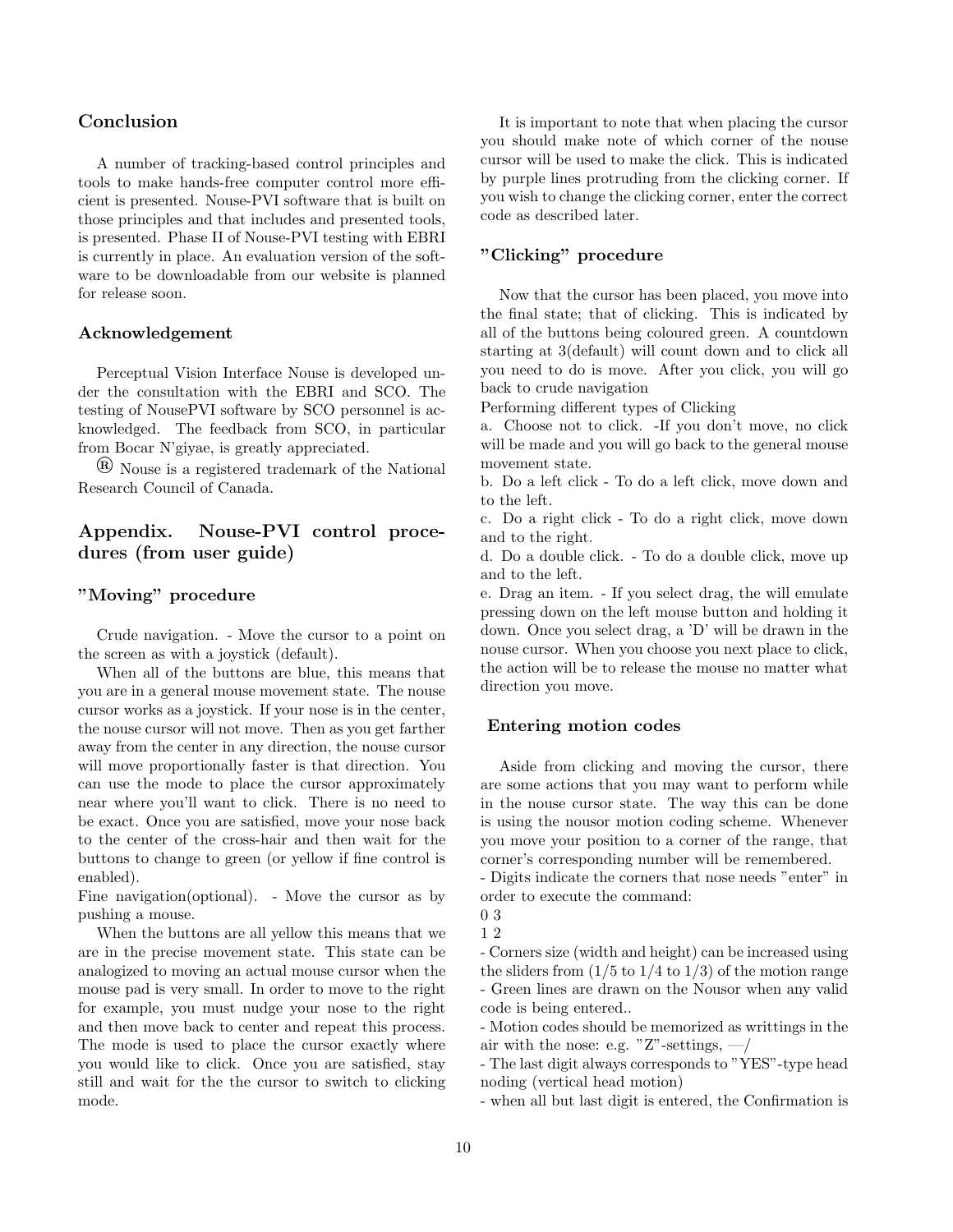## Conclusion

A number of tracking-based control principles and tools to make hands-free computer control more efficient is presented. Nouse-PVI software that is built on those principles and that includes and presented tools, is presented. Phase II of Nouse-PVI testing with EBRI is currently in place. An evaluation version of the software to be downloadable from our website is planned for release soon.

### Acknowledgement

Perceptual Vision Interface Nouse is developed under the consultation with the EBRI and SCO. The testing of NousePVI software by SCO personnel is acknowledged. The feedback from SCO, in particular from Bocar N'giyae, is greatly appreciated.

➤ Nouse is a registered trademark of the National Research Council of Canada.

## Appendix. Nouse-PVI control procedures (from user guide)

#### "Moving" procedure

Crude navigation. - Move the cursor to a point on the screen as with a joystick (default).

When all of the buttons are blue, this means that you are in a general mouse movement state. The nouse cursor works as a joystick. If your nose is in the center, the nouse cursor will not move. Then as you get farther away from the center in any direction, the nouse cursor will move proportionally faster is that direction. You can use the mode to place the cursor approximately near where you'll want to click. There is no need to be exact. Once you are satisfied, move your nose back to the center of the cross-hair and then wait for the buttons to change to green (or yellow if fine control is enabled).

Fine navigation(optional). - Move the cursor as by pushing a mouse.

When the buttons are all yellow this means that we are in the precise movement state. This state can be analogized to moving an actual mouse cursor when the mouse pad is very small. In order to move to the right for example, you must nudge your nose to the right and then move back to center and repeat this process. The mode is used to place the cursor exactly where you would like to click. Once you are satisfied, stay still and wait for the the cursor to switch to clicking mode.

It is important to note that when placing the cursor you should make note of which corner of the nouse cursor will be used to make the click. This is indicated by purple lines protruding from the clicking corner. If you wish to change the clicking corner, enter the correct code as described later.

## "Clicking" procedure

Now that the cursor has been placed, you move into the final state; that of clicking. This is indicated by all of the buttons being coloured green. A countdown starting at 3(default) will count down and to click all you need to do is move. After you click, you will go back to crude navigation

Performing different types of Clicking

a. Choose not to click. -If you don't move, no click will be made and you will go back to the general mouse movement state.

b. Do a left click - To do a left click, move down and to the left.

c. Do a right click - To do a right click, move down and to the right.

d. Do a double click. - To do a double click, move up and to the left.

e. Drag an item. - If you select drag, the will emulate pressing down on the left mouse button and holding it down. Once you select drag, a 'D' will be drawn in the nouse cursor. When you choose you next place to click, the action will be to release the mouse no matter what direction you move.

#### Entering motion codes

Aside from clicking and moving the cursor, there are some actions that you may want to perform while in the nouse cursor state. The way this can be done is using the nousor motion coding scheme. Whenever you move your position to a corner of the range, that corner's corresponding number will be remembered.

- Digits indicate the corners that nose needs "enter" in order to execute the command:

0 3

1 2

- Corners size (width and height) can be increased using the sliders from  $(1/5$  to  $1/4$  to  $1/3$ ) of the motion range - Green lines are drawn on the Nousor when any valid code is being entered..

- Motion codes should be memorized as writtings in the air with the nose: e.g. "Z"-settings,  $-$ /

- The last digit always corresponds to "YES"-type head noding (vertical head motion)

- when all but last digit is entered, the Confirmation is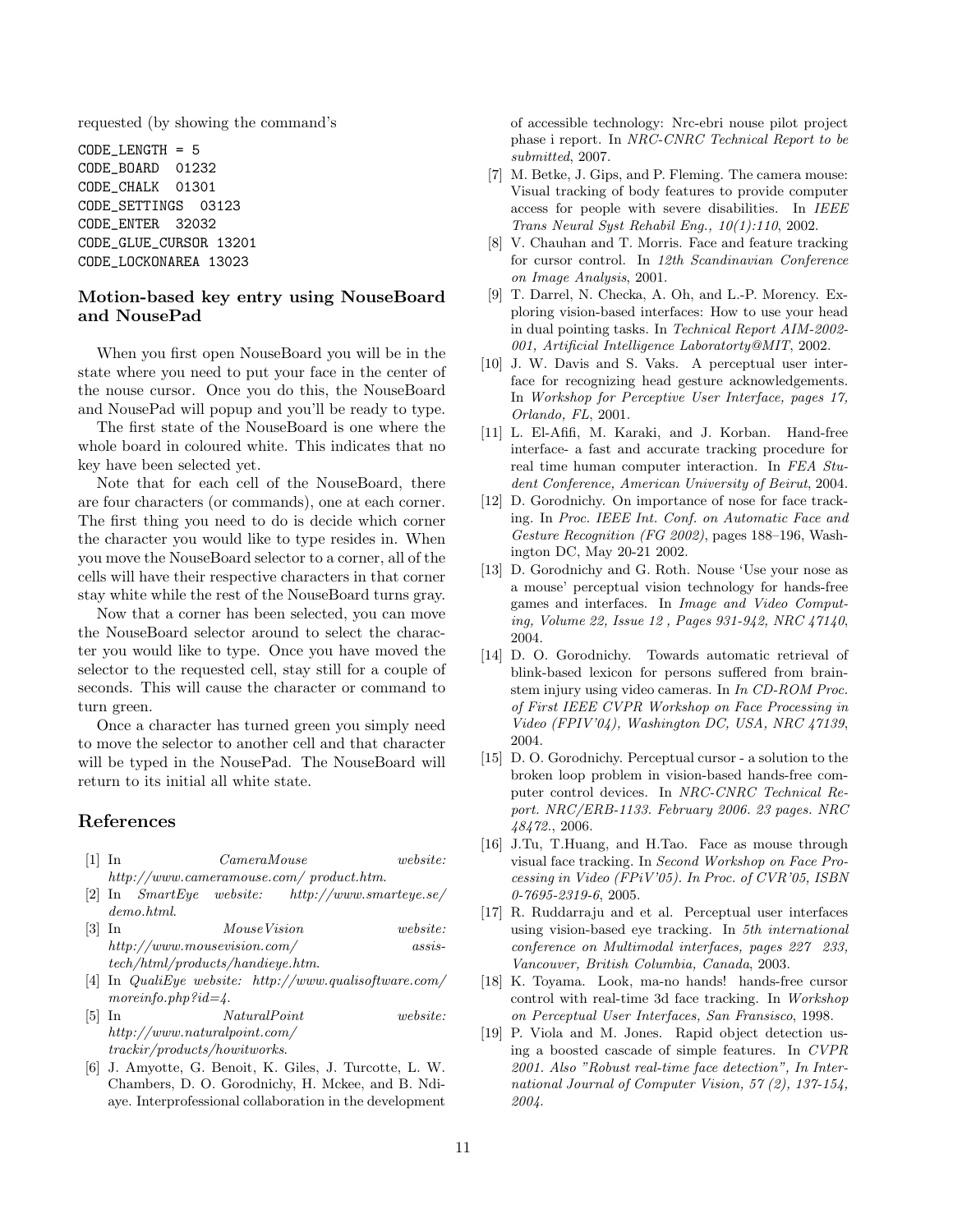requested (by showing the command's

CODE\_LENGTH = 5 CODE\_BOARD 01232 CODE\_CHALK 01301 CODE\_SETTINGS 03123 CODE\_ENTER 32032 CODE\_GLUE\_CURSOR 13201 CODE\_LOCKONAREA 13023

#### Motion-based key entry using NouseBoard and NousePad

When you first open NouseBoard you will be in the state where you need to put your face in the center of the nouse cursor. Once you do this, the NouseBoard and NousePad will popup and you'll be ready to type.

The first state of the NouseBoard is one where the whole board in coloured white. This indicates that no key have been selected yet.

Note that for each cell of the NouseBoard, there are four characters (or commands), one at each corner. The first thing you need to do is decide which corner the character you would like to type resides in. When you move the NouseBoard selector to a corner, all of the cells will have their respective characters in that corner stay white while the rest of the NouseBoard turns gray.

Now that a corner has been selected, you can move the NouseBoard selector around to select the character you would like to type. Once you have moved the selector to the requested cell, stay still for a couple of seconds. This will cause the character or command to turn green.

Once a character has turned green you simply need to move the selector to another cell and that character will be typed in the NousePad. The NouseBoard will return to its initial all white state.

### References

- <span id="page-12-5"></span>[1] In *CameraMouse website: http://www.cameramouse.com/ product.htm*.
- <span id="page-12-6"></span>[2] In *SmartEye website: http://www.smarteye.se/ demo.html*.
- <span id="page-12-7"></span>[3] In *MouseVision website: http://www.mousevision.com/ assistech/html/products/handieye.htm*.
- <span id="page-12-8"></span>[4] In *QualiEye website: http://www.qualisoftware.com/ moreinfo.php?id=4*.
- <span id="page-12-9"></span>[5] In *NaturalPoint website: http://www.naturalpoint.com/ trackir/products/howitworks*.
- <span id="page-12-18"></span>[6] J. Amyotte, G. Benoit, K. Giles, J. Turcotte, L. W. Chambers, D. O. Gorodnichy, H. Mckee, and B. Ndiaye. Interprofessional collaboration in the development

of accessible technology: Nrc-ebri nouse pilot project phase i report. In *NRC-CNRC Technical Report to be submitted*, 2007.

- <span id="page-12-14"></span>[7] M. Betke, J. Gips, and P. Fleming. The camera mouse: Visual tracking of body features to provide computer access for people with severe disabilities. In *IEEE Trans Neural Syst Rehabil Eng., 10(1):110*, 2002.
- <span id="page-12-11"></span>[8] V. Chauhan and T. Morris. Face and feature tracking for cursor control. In *12th Scandinavian Conference on Image Analysis*, 2001.
- <span id="page-12-12"></span>[9] T. Darrel, N. Checka, A. Oh, and L.-P. Morency. Exploring vision-based interfaces: How to use your head in dual pointing tasks. In *Technical Report AIM-2002- 001, Artificial Intelligence Laboratorty@MIT*, 2002.
- <span id="page-12-13"></span>[10] J. W. Davis and S. Vaks. A perceptual user interface for recognizing head gesture acknowledgements. In *Workshop for Perceptive User Interface, pages 17, Orlando, FL*, 2001.
- <span id="page-12-16"></span>[11] L. El-Afifi, M. Karaki, and J. Korban. Hand-free interface- a fast and accurate tracking procedure for real time human computer interaction. In *FEA Student Conference, American University of Beirut*, 2004.
- <span id="page-12-3"></span>[12] D. Gorodnichy. On importance of nose for face tracking. In *Proc. IEEE Int. Conf. on Automatic Face and Gesture Recognition (FG 2002)*, pages 188–196, Washington DC, May 20-21 2002.
- <span id="page-12-4"></span>[13] D. Gorodnichy and G. Roth. Nouse 'Use your nose as a mouse' perceptual vision technology for hands-free games and interfaces. In *Image and Video Computing, Volume 22, Issue 12 , Pages 931-942, NRC 47140*, 2004.
- <span id="page-12-1"></span>[14] D. O. Gorodnichy. Towards automatic retrieval of blink-based lexicon for persons suffered from brainstem injury using video cameras. In *In CD-ROM Proc. of First IEEE CVPR Workshop on Face Processing in Video (FPIV'04), Washington DC, USA, NRC 47139*, 2004.
- <span id="page-12-17"></span>[15] D. O. Gorodnichy. Perceptual cursor - a solution to the broken loop problem in vision-based hands-free computer control devices. In *NRC-CNRC Technical Report. NRC/ERB-1133. February 2006. 23 pages. NRC 48472.*, 2006.
- <span id="page-12-2"></span>[16] J.Tu, T.Huang, and H.Tao. Face as mouse through visual face tracking. In *Second Workshop on Face Processing in Video (FPiV'05). In Proc. of CVR'05, ISBN 0-7695-2319-6*, 2005.
- <span id="page-12-15"></span>[17] R. Ruddarraju and et al. Perceptual user interfaces using vision-based eye tracking. In *5th international conference on Multimodal interfaces, pages 227 233, Vancouver, British Columbia, Canada*, 2003.
- <span id="page-12-10"></span>[18] K. Toyama. Look, ma-no hands! hands-free cursor control with real-time 3d face tracking. In *Workshop on Perceptual User Interfaces, San Fransisco*, 1998.
- <span id="page-12-0"></span>[19] P. Viola and M. Jones. Rapid object detection using a boosted cascade of simple features. In *CVPR 2001. Also "Robust real-time face detection", In International Journal of Computer Vision, 57 (2), 137-154, 2004*.